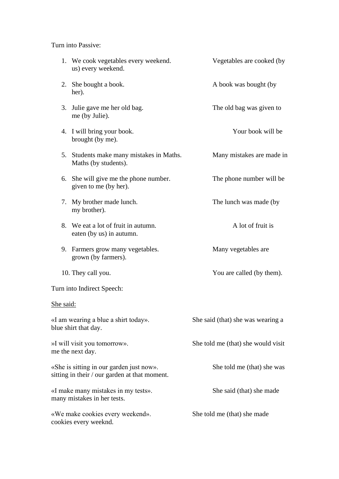Turn into Passive:

|                                                                                           | 1. We cook vegetables every weekend.<br>us) every weekend.       | Vegetables are cooked (by          |
|-------------------------------------------------------------------------------------------|------------------------------------------------------------------|------------------------------------|
|                                                                                           | 2. She bought a book.<br>her).                                   | A book was bought (by              |
|                                                                                           | 3. Julie gave me her old bag.<br>me (by Julie).                  | The old bag was given to           |
|                                                                                           | 4. I will bring your book.<br>brought (by me).                   | Your book will be                  |
|                                                                                           | 5. Students make many mistakes in Maths.<br>Maths (by students). | Many mistakes are made in          |
| 6.                                                                                        | She will give me the phone number.<br>given to me (by her).      | The phone number will be           |
| 7.                                                                                        | My brother made lunch.<br>my brother).                           | The lunch was made (by             |
|                                                                                           | 8. We eat a lot of fruit in autumn.<br>eaten (by us) in autumn.  | A lot of fruit is                  |
|                                                                                           | 9. Farmers grow many vegetables.<br>grown (by farmers).          | Many vegetables are                |
|                                                                                           | 10. They call you.                                               | You are called (by them).          |
| Turn into Indirect Speech:                                                                |                                                                  |                                    |
| She said:                                                                                 |                                                                  |                                    |
| «I am wearing a blue a shirt today».<br>blue shirt that day.                              |                                                                  | She said (that) she was wearing a  |
| »I will visit you tomorrow».<br>me the next day.                                          |                                                                  | She told me (that) she would visit |
| «She is sitting in our garden just now».<br>sitting in their / our garden at that moment. |                                                                  | She told me (that) she was         |
| «I make many mistakes in my tests».<br>many mistakes in her tests.                        |                                                                  | She said (that) she made           |
| «We make cookies every weekend».<br>cookies every weeknd.                                 |                                                                  | She told me (that) she made        |